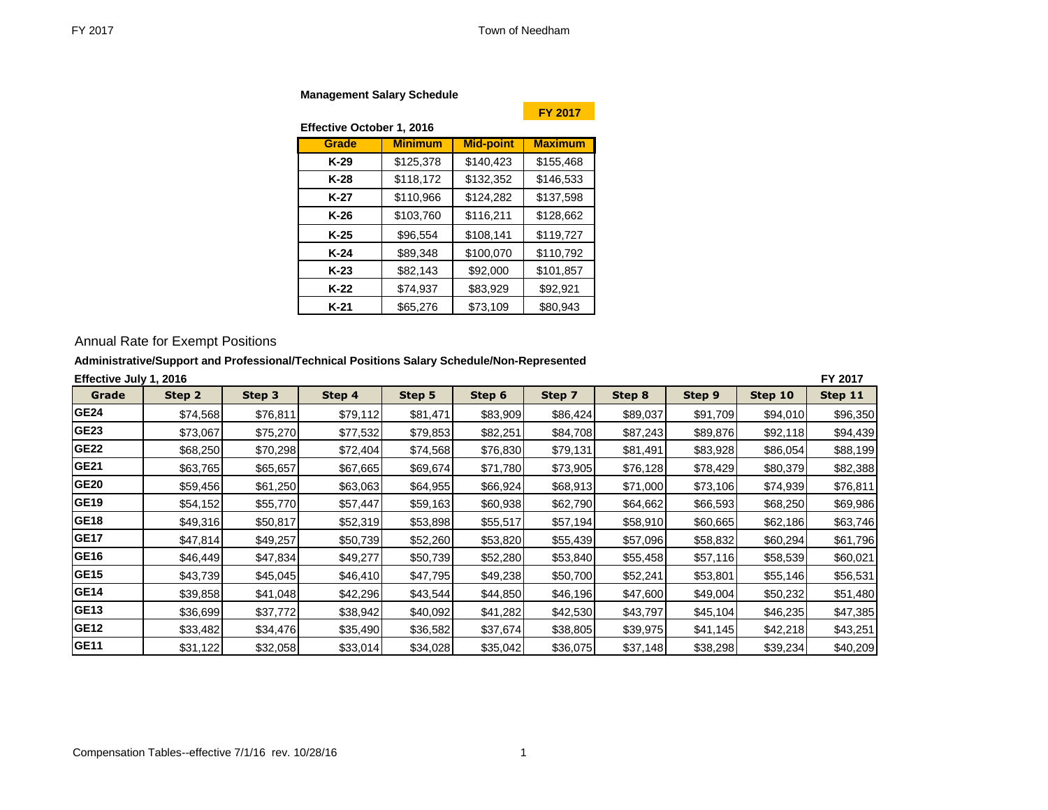**Management Salary Schedule** 

**Effective October 1, 2016**

**FY 2017**

| Grade  | <b>Minimum</b> | <b>Mid-point</b> | <b>Maximum</b> |
|--------|----------------|------------------|----------------|
| K-29   | \$125,378      | \$140,423        | \$155,468      |
| K-28   | \$118,172      | \$132,352        | \$146,533      |
| K-27   | \$110,966      | \$124,282        | \$137,598      |
| K-26   | \$103,760      | \$116,211        | \$128,662      |
| K-25   | \$96,554       | \$108,141        | \$119,727      |
| K-24   | \$89,348       | \$100,070        | \$110,792      |
| $K-23$ | \$82,143       | \$92,000         | \$101,857      |
| K-22   | \$74,937       | \$83,929         | \$92,921       |
| $K-21$ | \$65,276       | \$73,109         | \$80,943       |

# Annual Rate for Exempt Positions

## **Administrative/Support and Professional/Technical Positions Salary Schedule/Non-Represented**

| Effective July 1, 2016 |          |          |          |          |          |          |          |               |           | FY 2017  |
|------------------------|----------|----------|----------|----------|----------|----------|----------|---------------|-----------|----------|
| Grade                  | Step 2   | Step 3   | Step 4   | Step 5   | Step 6   | Step 7   | Step 8   | <b>Step 9</b> | Step 10   | Step 11  |
| <b>GE24</b>            | \$74,568 | \$76,811 | \$79,112 | \$81.471 | \$83,909 | \$86,424 | \$89,037 | \$91,709      | \$94,010  | \$96,350 |
| GE <sub>23</sub>       | \$73,067 | \$75,270 | \$77,532 | \$79,853 | \$82,251 | \$84,708 | \$87,243 | \$89,876      | \$92,118  | \$94,439 |
| <b>GE22</b>            | \$68,250 | \$70,298 | \$72,404 | \$74,568 | \$76,830 | \$79,131 | \$81,491 | \$83,928      | \$86,054  | \$88,199 |
| <b>GE21</b>            | \$63,765 | \$65,657 | \$67,665 | \$69,674 | \$71,780 | \$73,905 | \$76,128 | \$78,429      | \$80,379  | \$82,388 |
| <b>GE20</b>            | \$59,456 | \$61,250 | \$63,063 | \$64,955 | \$66,924 | \$68,913 | \$71,000 | \$73,106      | \$74,939  | \$76,811 |
| <b>GE19</b>            | \$54,152 | \$55,770 | \$57,447 | \$59,163 | \$60,938 | \$62,790 | \$64,662 | \$66,593      | \$68,250  | \$69,986 |
| <b>GE18</b>            | \$49,316 | \$50,817 | \$52,319 | \$53,898 | \$55,517 | \$57,194 | \$58,910 | \$60,665      | \$62,186  | \$63,746 |
| <b>GE17</b>            | \$47,814 | \$49,257 | \$50,739 | \$52,260 | \$53,820 | \$55,439 | \$57,096 | \$58,832      | \$60,294] | \$61,796 |
| GE16                   | \$46,449 | \$47,834 | \$49,277 | \$50,739 | \$52,280 | \$53,840 | \$55,458 | \$57,116      | \$58,539  | \$60,021 |
| <b>GE15</b>            | \$43,739 | \$45,045 | \$46,410 | \$47,795 | \$49,238 | \$50,700 | \$52,241 | \$53,801      | \$55,146  | \$56,531 |
| <b>GE14</b>            | \$39,858 | \$41,048 | \$42,296 | \$43,544 | \$44,850 | \$46,196 | \$47,600 | \$49,004      | \$50,232  | \$51,480 |
| <b>GE13</b>            | \$36,699 | \$37,772 | \$38,942 | \$40,092 | \$41,282 | \$42,530 | \$43,797 | \$45,104      | \$46,235  | \$47,385 |
| <b>GE12</b>            | \$33,482 | \$34,476 | \$35,490 | \$36,582 | \$37,674 | \$38,805 | \$39,975 | \$41,145      | \$42,218  | \$43,251 |
| <b>GE11</b>            | \$31,122 | \$32,058 | \$33,014 | \$34,028 | \$35,042 | \$36,075 | \$37,148 | \$38,298      | \$39,234  | \$40,209 |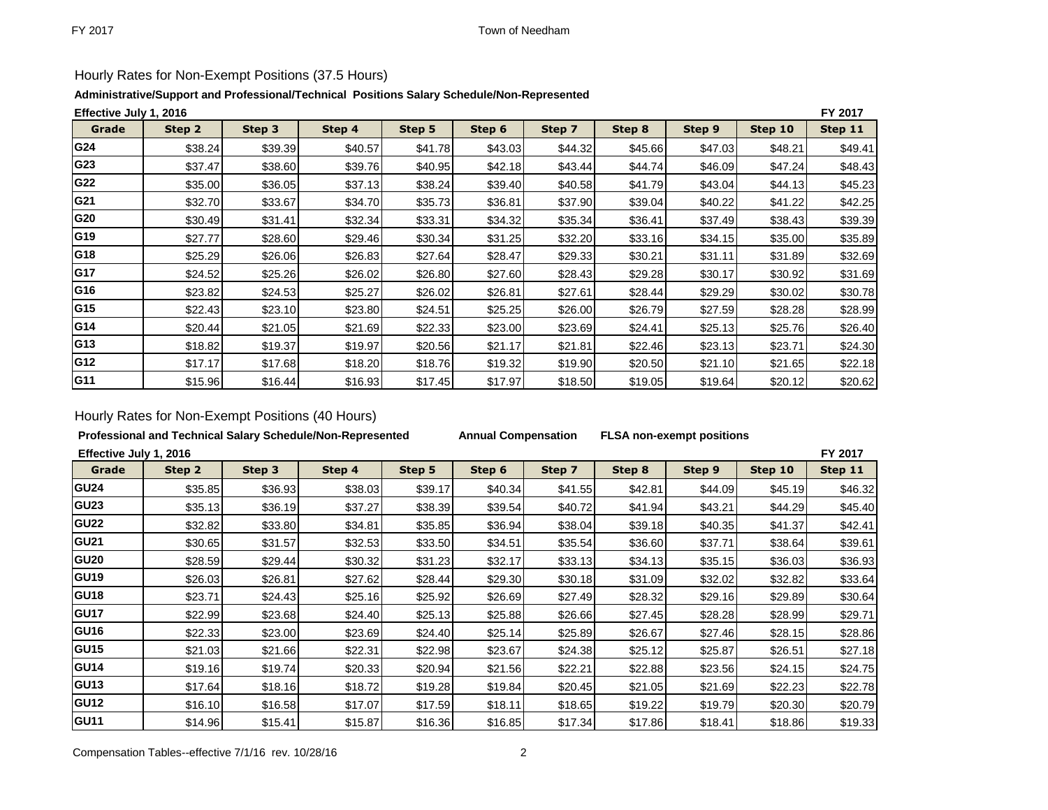# Hourly Rates for Non-Exempt Positions (37.5 Hours)

## **Administrative/Support and Professional/Technical Positions Salary Schedule/Non-Represented**

|                 | FY 2017<br>Effective July 1, 2016 |         |         |         |          |         |         |         |         |         |  |  |  |
|-----------------|-----------------------------------|---------|---------|---------|----------|---------|---------|---------|---------|---------|--|--|--|
| Grade           | Step 2                            | Step 3  | Step 4  | Step 5  | Step 6   | Step 7  | Step 8  | Step 9  | Step 10 | Step 11 |  |  |  |
| G24             | \$38.24                           | \$39.39 | \$40.57 | \$41.78 | \$43.03  | \$44.32 | \$45.66 | \$47.03 | \$48.21 | \$49.41 |  |  |  |
| G23             | \$37.47                           | \$38.60 | \$39.76 | \$40.95 | \$42.18  | \$43.44 | \$44.74 | \$46.09 | \$47.24 | \$48.43 |  |  |  |
| G22             | \$35.00                           | \$36.05 | \$37.13 | \$38.24 | \$39.40  | \$40.58 | \$41.79 | \$43.04 | \$44.13 | \$45.23 |  |  |  |
| G21             | \$32.70                           | \$33.67 | \$34.70 | \$35.73 | \$36.81  | \$37.90 | \$39.04 | \$40.22 | \$41.22 | \$42.25 |  |  |  |
| G20             | \$30.49                           | \$31.41 | \$32.34 | \$33.31 | \$34.32  | \$35.34 | \$36.41 | \$37.49 | \$38.43 | \$39.39 |  |  |  |
| G19             | \$27.77                           | \$28.60 | \$29.46 | \$30.34 | \$31.25  | \$32.20 | \$33.16 | \$34.15 | \$35.00 | \$35.89 |  |  |  |
| G18             | \$25.29                           | \$26.06 | \$26.83 | \$27.64 | \$28.47  | \$29.33 | \$30.21 | \$31.11 | \$31.89 | \$32.69 |  |  |  |
| G17             | \$24.52                           | \$25.26 | \$26.02 | \$26.80 | \$27.60  | \$28.43 | \$29.28 | \$30.17 | \$30.92 | \$31.69 |  |  |  |
| G16             | \$23.82                           | \$24.53 | \$25.27 | \$26.02 | \$26.81  | \$27.61 | \$28.44 | \$29.29 | \$30.02 | \$30.78 |  |  |  |
| G <sub>15</sub> | \$22.43                           | \$23.10 | \$23.80 | \$24.51 | \$25.25  | \$26.00 | \$26.79 | \$27.59 | \$28.28 | \$28.99 |  |  |  |
| G14             | \$20.44]                          | \$21.05 | \$21.69 | \$22.33 | \$23.00  | \$23.69 | \$24.41 | \$25.13 | \$25.76 | \$26.40 |  |  |  |
| G13             | \$18.82                           | \$19.37 | \$19.97 | \$20.56 | \$21.17l | \$21.81 | \$22.46 | \$23.13 | \$23.71 | \$24.30 |  |  |  |
| G12             | \$17.17                           | \$17.68 | \$18.20 | \$18.76 | \$19.32  | \$19.90 | \$20.50 | \$21.10 | \$21.65 | \$22.18 |  |  |  |
| G11             | \$15.96                           | \$16.44 | \$16.93 | \$17.45 | \$17.97  | \$18.50 | \$19.05 | \$19.64 | \$20.12 | \$20.62 |  |  |  |

## Hourly Rates for Non-Exempt Positions (40 Hours)

## **Professional and Technical Salary Schedule/Non-Represented Annual Compensation FLSA non-exempt positions**

**Effective July 1, 2016 FY 2017**

| Grade       | Step 2  | Step 3  | Step 4  | Step 5  | Step 6  | Step 7  | Step 8  | Step 9  | Step 10 | Step 11 |
|-------------|---------|---------|---------|---------|---------|---------|---------|---------|---------|---------|
| <b>GU24</b> | \$35.85 | \$36.93 | \$38.03 | \$39.17 | \$40.34 | \$41.55 | \$42.81 | \$44.09 | \$45.19 | \$46.32 |
| <b>GU23</b> | \$35.13 | \$36.19 | \$37.27 | \$38.39 | \$39.54 | \$40.72 | \$41.94 | \$43.21 | \$44.29 | \$45.40 |
| <b>GU22</b> | \$32.82 | \$33.80 | \$34.81 | \$35.85 | \$36.94 | \$38.04 | \$39.18 | \$40.35 | \$41.37 | \$42.41 |
| <b>GU21</b> | \$30.65 | \$31.57 | \$32.53 | \$33.50 | \$34.51 | \$35.54 | \$36.60 | \$37.71 | \$38.64 | \$39.61 |
| <b>GU20</b> | \$28.59 | \$29.44 | \$30.32 | \$31.23 | \$32.17 | \$33.13 | \$34.13 | \$35.15 | \$36.03 | \$36.93 |
| <b>GU19</b> | \$26.03 | \$26.81 | \$27.62 | \$28.44 | \$29.30 | \$30.18 | \$31.09 | \$32.02 | \$32.82 | \$33.64 |
| <b>GU18</b> | \$23.71 | \$24.43 | \$25.16 | \$25.92 | \$26.69 | \$27.49 | \$28.32 | \$29.16 | \$29.89 | \$30.64 |
| <b>GU17</b> | \$22.99 | \$23.68 | \$24.40 | \$25.13 | \$25.88 | \$26.66 | \$27.45 | \$28.28 | \$28.99 | \$29.71 |
| <b>GU16</b> | \$22.33 | \$23.00 | \$23.69 | \$24.40 | \$25.14 | \$25.89 | \$26.67 | \$27.46 | \$28.15 | \$28.86 |
| <b>GU15</b> | \$21.03 | \$21.66 | \$22.31 | \$22.98 | \$23.67 | \$24.38 | \$25.12 | \$25.87 | \$26.51 | \$27.18 |
| <b>GU14</b> | \$19.16 | \$19.74 | \$20.33 | \$20.94 | \$21.56 | \$22.21 | \$22.88 | \$23.56 | \$24.15 | \$24.75 |
| <b>GU13</b> | \$17.64 | \$18.16 | \$18.72 | \$19.28 | \$19.84 | \$20.45 | \$21.05 | \$21.69 | \$22.23 | \$22.78 |
| <b>GU12</b> | \$16.10 | \$16.58 | \$17.07 | \$17.59 | \$18.11 | \$18.65 | \$19.22 | \$19.79 | \$20.30 | \$20.79 |
| <b>GU11</b> | \$14.96 | \$15.41 | \$15.87 | \$16.36 | \$16.85 | \$17.34 | \$17.86 | \$18.41 | \$18.86 | \$19.33 |

Compensation Tables--effective 7/1/16 rev. 10/28/16 2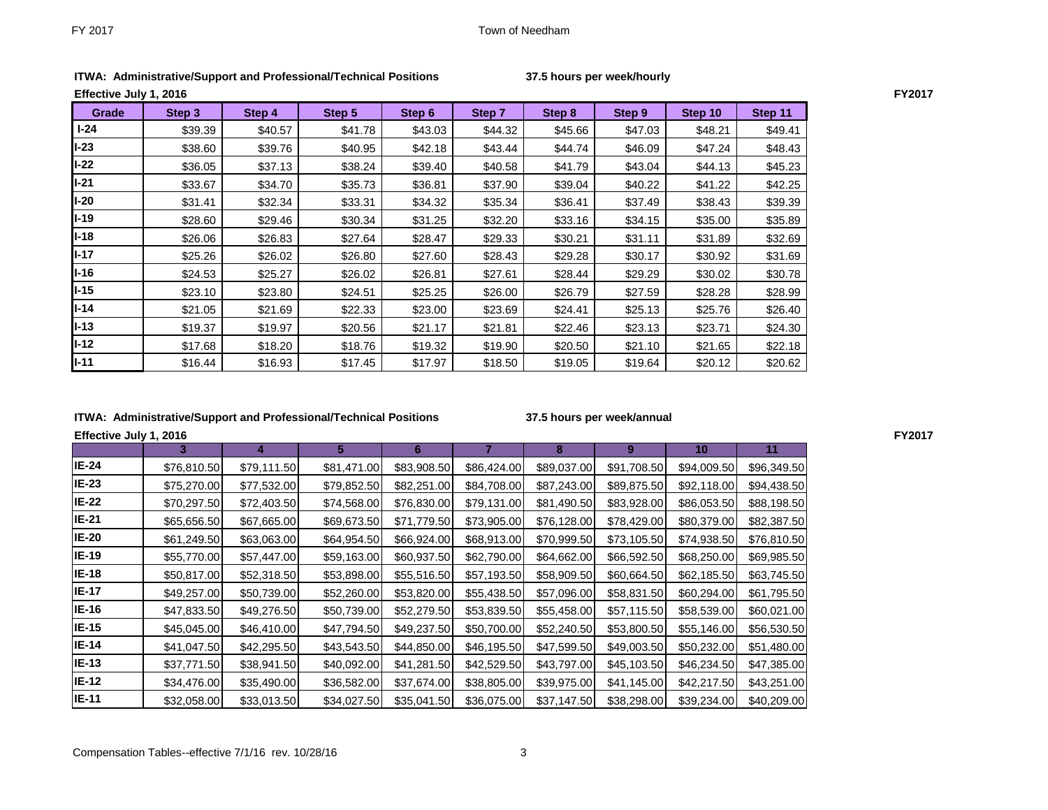| 37.5 hours per week/hourly |  |  |  |  |  |
|----------------------------|--|--|--|--|--|
|----------------------------|--|--|--|--|--|

| Effective July 1, 2016 |         |         |         |         |         |         |         |         |         |
|------------------------|---------|---------|---------|---------|---------|---------|---------|---------|---------|
| Grade                  | Step 3  | Step 4  | Step 5  | Step 6  | Step 7  | Step 8  | Step 9  | Step 10 | Step 11 |
| $I-24$                 | \$39.39 | \$40.57 | \$41.78 | \$43.03 | \$44.32 | \$45.66 | \$47.03 | \$48.21 | \$49.41 |
| $I-23$                 | \$38.60 | \$39.76 | \$40.95 | \$42.18 | \$43.44 | \$44.74 | \$46.09 | \$47.24 | \$48.43 |
| $I-22$                 | \$36.05 | \$37.13 | \$38.24 | \$39.40 | \$40.58 | \$41.79 | \$43.04 | \$44.13 | \$45.23 |
| $I-21$                 | \$33.67 | \$34.70 | \$35.73 | \$36.81 | \$37.90 | \$39.04 | \$40.22 | \$41.22 | \$42.25 |
| l-20                   | \$31.41 | \$32.34 | \$33.31 | \$34.32 | \$35.34 | \$36.41 | \$37.49 | \$38.43 | \$39.39 |
| $I-19$                 | \$28.60 | \$29.46 | \$30.34 | \$31.25 | \$32.20 | \$33.16 | \$34.15 | \$35.00 | \$35.89 |
| $I-18$                 | \$26.06 | \$26.83 | \$27.64 | \$28.47 | \$29.33 | \$30.21 | \$31.11 | \$31.89 | \$32.69 |
| $I-17$                 | \$25.26 | \$26.02 | \$26.80 | \$27.60 | \$28.43 | \$29.28 | \$30.17 | \$30.92 | \$31.69 |
| I-16                   | \$24.53 | \$25.27 | \$26.02 | \$26.81 | \$27.61 | \$28.44 | \$29.29 | \$30.02 | \$30.78 |
| l-15                   | \$23.10 | \$23.80 | \$24.51 | \$25.25 | \$26.00 | \$26.79 | \$27.59 | \$28.28 | \$28.99 |
| I-14                   | \$21.05 | \$21.69 | \$22.33 | \$23.00 | \$23.69 | \$24.41 | \$25.13 | \$25.76 | \$26.40 |
| I-13                   | \$19.37 | \$19.97 | \$20.56 | \$21.17 | \$21.81 | \$22.46 | \$23.13 | \$23.71 | \$24.30 |
| $I-12$                 | \$17.68 | \$18.20 | \$18.76 | \$19.32 | \$19.90 | \$20.50 | \$21.10 | \$21.65 | \$22.18 |

**I-11** \$16.44 \$16.93 \$17.45 \$17.97 \$18.50 \$19.05 \$19.64 \$20.12 \$20.62

**ITWA: Administrative/Support and Professional/Technical Positions 37.5 hours per week/hourly**

#### **ITWA: Administrative/Support and Professional/Technical Positions 37.5 hours per week/annual**

**Effective July 1, 2016 FY2017**

|              | 3.          |             | 5.          | 6           |             | 8           | 9           | 10          | 11          |
|--------------|-------------|-------------|-------------|-------------|-------------|-------------|-------------|-------------|-------------|
| <b>IE-24</b> | \$76,810.50 | \$79,111.50 | \$81,471.00 | \$83,908.50 | \$86,424.00 | \$89,037.00 | \$91,708.50 | \$94,009.50 | \$96,349.50 |
| $IE-23$      | \$75,270.00 | \$77,532.00 | \$79,852.50 | \$82,251.00 | \$84,708.00 | \$87,243.00 | \$89,875.50 | \$92,118.00 | \$94,438.50 |
| <b>IE-22</b> | \$70,297.50 | \$72,403.50 | \$74,568.00 | \$76,830.00 | \$79,131.00 | \$81,490.50 | \$83,928.00 | \$86,053.50 | \$88,198.50 |
| <b>IE-21</b> | \$65,656.50 | \$67,665.00 | \$69,673.50 | \$71,779.50 | \$73,905.00 | \$76,128.00 | \$78,429.00 | \$80,379.00 | \$82,387.50 |
| <b>IE-20</b> | \$61,249.50 | \$63,063.00 | \$64,954.50 | \$66,924.00 | \$68,913.00 | \$70,999.50 | \$73,105.50 | \$74,938.50 | \$76,810.50 |
| <b>IE-19</b> | \$55,770.00 | \$57,447.00 | \$59,163.00 | \$60,937.50 | \$62,790.00 | \$64,662.00 | \$66,592.50 | \$68,250.00 | \$69,985.50 |
| <b>IE-18</b> | \$50,817.00 | \$52,318.50 | \$53,898.00 | \$55,516.50 | \$57,193.50 | \$58,909.50 | \$60,664.50 | \$62,185.50 | \$63,745.50 |
| <b>IE-17</b> | \$49,257.00 | \$50,739.00 | \$52,260.00 | \$53,820.00 | \$55,438.50 | \$57,096.00 | \$58,831.50 | \$60,294.00 | \$61,795.50 |
| <b>IE-16</b> | \$47,833.50 | \$49,276.50 | \$50,739.00 | \$52,279.50 | \$53,839.50 | \$55,458.00 | \$57,115.50 | \$58,539.00 | \$60,021.00 |
| <b>IE-15</b> | \$45,045.00 | \$46,410.00 | \$47,794.50 | \$49,237.50 | \$50,700.00 | \$52,240.50 | \$53,800.50 | \$55,146.00 | \$56,530.50 |
| <b>IE-14</b> | \$41,047.50 | \$42,295.50 | \$43,543.50 | \$44,850.00 | \$46,195.50 | \$47,599.50 | \$49,003.50 | \$50,232.00 | \$51,480.00 |
| <b>IE-13</b> | \$37,771.50 | \$38,941.50 | \$40,092.00 | \$41,281.50 | \$42,529.50 | \$43,797.00 | \$45,103.50 | \$46,234.50 | \$47,385.00 |
| <b>IE-12</b> | \$34,476.00 | \$35,490.00 | \$36,582.00 | \$37,674.00 | \$38,805.00 | \$39,975.00 | \$41,145.00 | \$42,217.50 | \$43,251.00 |
| <b>IE-11</b> | \$32,058.00 | \$33,013.50 | \$34,027.50 | \$35,041.50 | \$36,075.00 | \$37,147.50 | \$38,298.00 | \$39,234.00 | \$40,209.00 |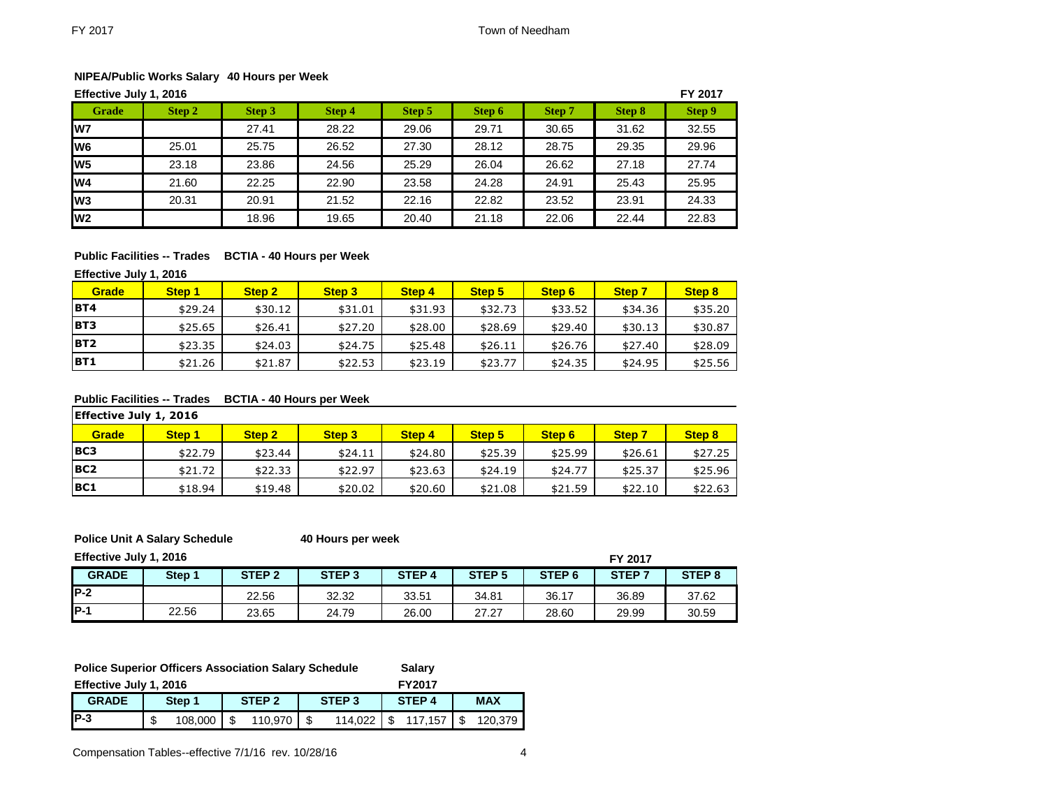## **NIPEA/Public Works Salary 40 Hours per Week**

|                 | FY 2017<br>Effective July 1, 2016 |        |        |        |        |        |        |        |  |  |  |  |
|-----------------|-----------------------------------|--------|--------|--------|--------|--------|--------|--------|--|--|--|--|
| Grade           | Step 2                            | Step 3 | Step 4 | Step 5 | Step 6 | Step 7 | Step 8 | Step 9 |  |  |  |  |
| lw7             |                                   | 27.41  | 28.22  | 29.06  | 29.71  | 30.65  | 31.62  | 32.55  |  |  |  |  |
| lw <sub>6</sub> | 25.01                             | 25.75  | 26.52  | 27.30  | 28.12  | 28.75  | 29.35  | 29.96  |  |  |  |  |
| W <sub>5</sub>  | 23.18                             | 23.86  | 24.56  | 25.29  | 26.04  | 26.62  | 27.18  | 27.74  |  |  |  |  |
| W <sub>4</sub>  | 21.60                             | 22.25  | 22.90  | 23.58  | 24.28  | 24.91  | 25.43  | 25.95  |  |  |  |  |
| lw <sub>3</sub> | 20.31                             | 20.91  | 21.52  | 22.16  | 22.82  | 23.52  | 23.91  | 24.33  |  |  |  |  |
| lw <sub>2</sub> |                                   | 18.96  | 19.65  | 20.40  | 21.18  | 22.06  | 22.44  | 22.83  |  |  |  |  |

## **Public Facilities -- Trades BCTIA - 40 Hours per Week**

**Effective July 1, 2016**

| <b>Grade</b> | Step 1  | Step 2  | Step 3  | Step 4  | Step 5  | Step 6  | <b>Step 7</b> | Step 8  |
|--------------|---------|---------|---------|---------|---------|---------|---------------|---------|
| <b>BT4</b>   | \$29.24 | \$30.12 | \$31.01 | \$31.93 | \$32.73 | \$33.52 | \$34.36       | \$35.20 |
| <b>BT3</b>   | \$25.65 | \$26.41 | \$27.20 | \$28.00 | \$28.69 | \$29.40 | \$30.13       | \$30.87 |
| <b>BT2</b>   | \$23.35 | \$24.03 | \$24.75 | \$25.48 | \$26.11 | \$26.76 | \$27.40       | \$28.09 |
| <b>BT1</b>   | \$21.26 | \$21.87 | \$22.53 | \$23.19 | \$23.77 | \$24.35 | \$24.95       | \$25.56 |

### **Public Facilities -- Trades BCTIA - 40 Hours per Week**

| Effective July 1, 2016 |         |                   |                   |               |         |         |               |         |  |  |  |
|------------------------|---------|-------------------|-------------------|---------------|---------|---------|---------------|---------|--|--|--|
| <b>Grade</b>           | Step 1  | Step <sub>2</sub> | Step <sub>3</sub> | <b>Step 4</b> | Step 5  | Step 6  | <b>Step 7</b> | Step 8  |  |  |  |
| <b>BC3</b>             | \$22.79 | \$23.44           | \$24.11           | \$24.80       | \$25.39 | \$25.99 | \$26.61       | \$27.25 |  |  |  |
| BC <sub>2</sub>        | \$21.72 | \$22.33           | \$22.97           | \$23.63       | \$24.19 | \$24.77 | \$25.37       | \$25.96 |  |  |  |
| <b>BC1</b>             | \$18.94 | \$19.48           | \$20.02           | \$20.60       | \$21.08 | \$21.59 | \$22.10       | \$22.63 |  |  |  |

**Police Unit A Salary Schedule 40 Hours per week**

**Effective July 1, 2016 FY 2017**

|              | FI ZUIT |                   |                   |                   |                   |                   |                   |                   |
|--------------|---------|-------------------|-------------------|-------------------|-------------------|-------------------|-------------------|-------------------|
| <b>GRADE</b> | Step 1  | STEP <sub>2</sub> | STEP <sub>3</sub> | STEP <sub>4</sub> | STEP <sub>5</sub> | STEP <sub>6</sub> | STEP <sub>7</sub> | STEP <sub>8</sub> |
| IP-2         |         | 22.56             | 32.32             | 33.51             | 34.81             | 36.17             | 36.89             | 37.62             |
| <b>IP-1</b>  | 22.56   | 23.65             | 24.79             | 26.00             | 27.27             | 28.60             | 29.99             | 30.59             |

| <b>Police Superior Officers Association Salary Schedule</b> |         |                   |         |                   |         |                   |         |            |         |
|-------------------------------------------------------------|---------|-------------------|---------|-------------------|---------|-------------------|---------|------------|---------|
| Effective July 1, 2016                                      |         |                   |         | <b>FY2017</b>     |         |                   |         |            |         |
| <b>GRADE</b>                                                | Step 1  | STEP <sub>2</sub> |         | STEP <sub>3</sub> |         | STEP <sub>4</sub> |         | <b>MAX</b> |         |
| $IP-3$                                                      | 108.000 | £.                | 110.970 |                   | 114.022 |                   | 117.157 |            | 120.379 |